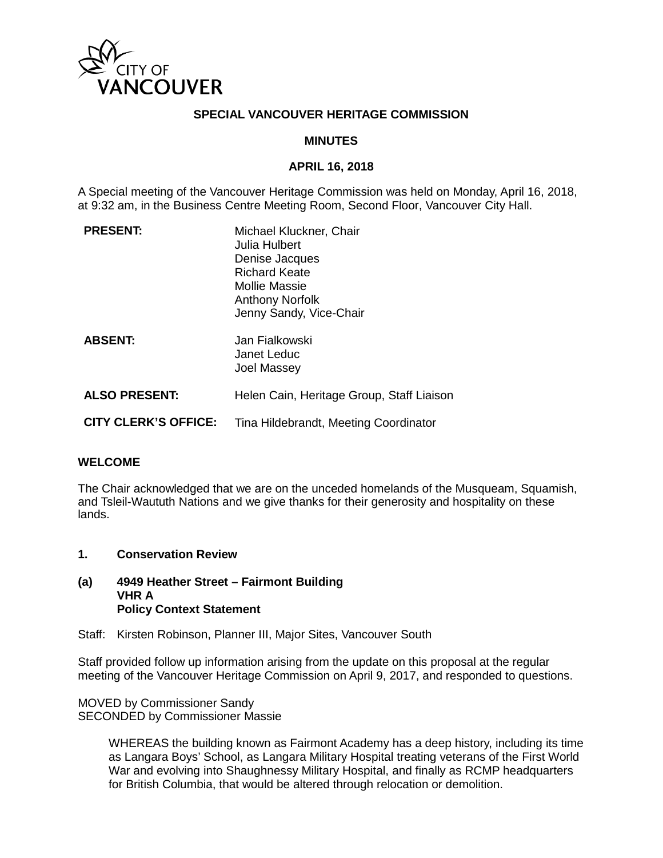

## **SPECIAL VANCOUVER HERITAGE COMMISSION**

## **MINUTES**

## **APRIL 16, 2018**

A Special meeting of the Vancouver Heritage Commission was held on Monday, April 16, 2018, at 9:32 am, in the Business Centre Meeting Room, Second Floor, Vancouver City Hall.

| <b>PRESENT:</b>             | Michael Kluckner, Chair<br>Julia Hulbert<br>Denise Jacques<br><b>Richard Keate</b><br>Mollie Massie<br><b>Anthony Norfolk</b><br>Jenny Sandy, Vice-Chair |
|-----------------------------|----------------------------------------------------------------------------------------------------------------------------------------------------------|
| <b>ABSENT:</b>              | Jan Fialkowski<br>Janet Leduc<br><b>Joel Massey</b>                                                                                                      |
| <b>ALSO PRESENT:</b>        | Helen Cain, Heritage Group, Staff Liaison                                                                                                                |
| <b>CITY CLERK'S OFFICE:</b> | Tina Hildebrandt, Meeting Coordinator                                                                                                                    |

#### **WELCOME**

The Chair acknowledged that we are on the unceded homelands of the Musqueam, Squamish, and Tsleil-Waututh Nations and we give thanks for their generosity and hospitality on these lands.

**1. Conservation Review**

#### **(a) 4949 Heather Street – Fairmont Building VHR A Policy Context Statement**

Staff: Kirsten Robinson, Planner III, Major Sites, Vancouver South

Staff provided follow up information arising from the update on this proposal at the regular meeting of the Vancouver Heritage Commission on April 9, 2017, and responded to questions.

MOVED by Commissioner Sandy SECONDED by Commissioner Massie

> WHEREAS the building known as Fairmont Academy has a deep history, including its time as Langara Boys' School, as Langara Military Hospital treating veterans of the First World War and evolving into Shaughnessy Military Hospital, and finally as RCMP headquarters for British Columbia, that would be altered through relocation or demolition.